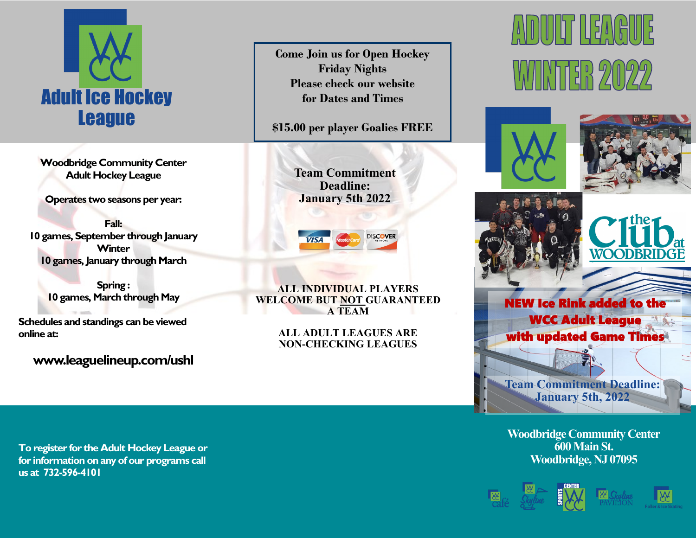

**Woodbridge Community Center Adult Hockey League** 

**Operates two seasons per year:**

**Fall: 10 games, September through January Winter 10 games, January through March**

> **Spring : 10 games, March through May**

**Schedules and standings can be viewed online at:**

# **www.leaguelineup.com/ushl**

**Come Join us for Open Hockey Friday Nights Please check our website for Dates and Times**

**\$15.00 per player Goalies FREE**

**Team Commitment Deadline: January 5th 2022**

**DISCOVER** 

**ALL INDIVIDUAL PLAYERS WELCOME BUT NOT GUARANTEED A TEAM**

> **ALL ADULT LEAGUES ARE NON-CHECKING LEAGUES**









NEW Ice Rink added to the WCC Adult League with updated Game Times

**Team Commitment Deadline: January 5th, 2022**

**Woodbridge Community Center 600 Main St. Woodbridge, NJ 07095**







**To register for the Adult Hockey League or for information on any of our programs call us at 732-596-4101**